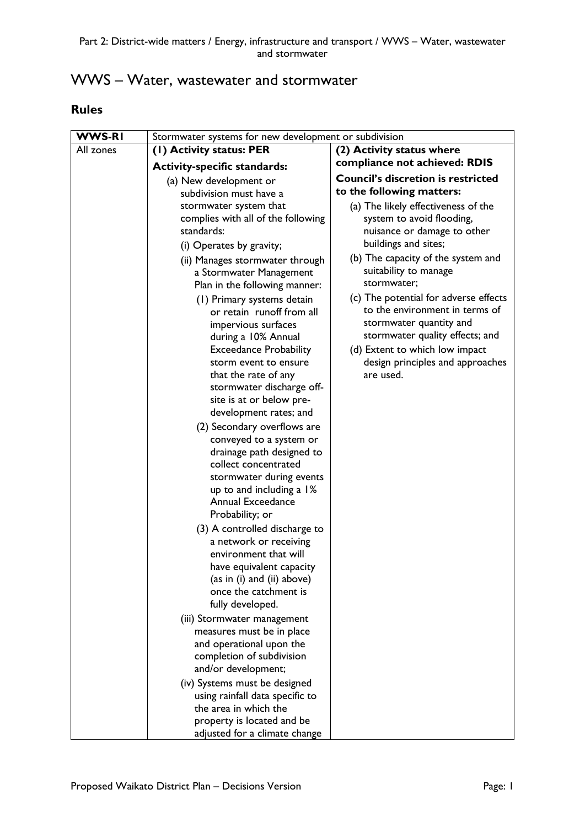# WWS – Water, wastewater and stormwater

## **Rules**

| <b>WWS-RI</b> | Stormwater systems for new development or subdivision |                                                           |
|---------------|-------------------------------------------------------|-----------------------------------------------------------|
| All zones     | (1) Activity status: PER                              | (2) Activity status where                                 |
|               | <b>Activity-specific standards:</b>                   | compliance not achieved: RDIS                             |
|               | (a) New development or                                | <b>Council's discretion is restricted</b>                 |
|               | subdivision must have a                               | to the following matters:                                 |
|               | stormwater system that                                | (a) The likely effectiveness of the                       |
|               | complies with all of the following                    | system to avoid flooding,                                 |
|               | standards:                                            | nuisance or damage to other                               |
|               | (i) Operates by gravity;                              | buildings and sites;                                      |
|               | (ii) Manages stormwater through                       | (b) The capacity of the system and                        |
|               | a Stormwater Management                               | suitability to manage                                     |
|               | Plan in the following manner:                         | stormwater;                                               |
|               | (1) Primary systems detain                            | (c) The potential for adverse effects                     |
|               | or retain runoff from all                             | to the environment in terms of<br>stormwater quantity and |
|               | impervious surfaces                                   | stormwater quality effects; and                           |
|               | during a 10% Annual<br><b>Exceedance Probability</b>  | (d) Extent to which low impact                            |
|               | storm event to ensure                                 | design principles and approaches                          |
|               | that the rate of any                                  | are used.                                                 |
|               | stormwater discharge off-                             |                                                           |
|               | site is at or below pre-                              |                                                           |
|               | development rates; and                                |                                                           |
|               | (2) Secondary overflows are                           |                                                           |
|               | conveyed to a system or                               |                                                           |
|               | drainage path designed to                             |                                                           |
|               | collect concentrated                                  |                                                           |
|               | stormwater during events                              |                                                           |
|               | up to and including a 1%<br><b>Annual Exceedance</b>  |                                                           |
|               | Probability; or                                       |                                                           |
|               | (3) A controlled discharge to                         |                                                           |
|               | a network or receiving                                |                                                           |
|               | environment that will                                 |                                                           |
|               | have equivalent capacity                              |                                                           |
|               | (as in (i) and (ii) above)                            |                                                           |
|               | once the catchment is                                 |                                                           |
|               | fully developed.                                      |                                                           |
|               | (iii) Stormwater management                           |                                                           |
|               | measures must be in place                             |                                                           |
|               | and operational upon the                              |                                                           |
|               | completion of subdivision<br>and/or development;      |                                                           |
|               | (iv) Systems must be designed                         |                                                           |
|               | using rainfall data specific to                       |                                                           |
|               | the area in which the                                 |                                                           |
|               | property is located and be                            |                                                           |
|               | adjusted for a climate change                         |                                                           |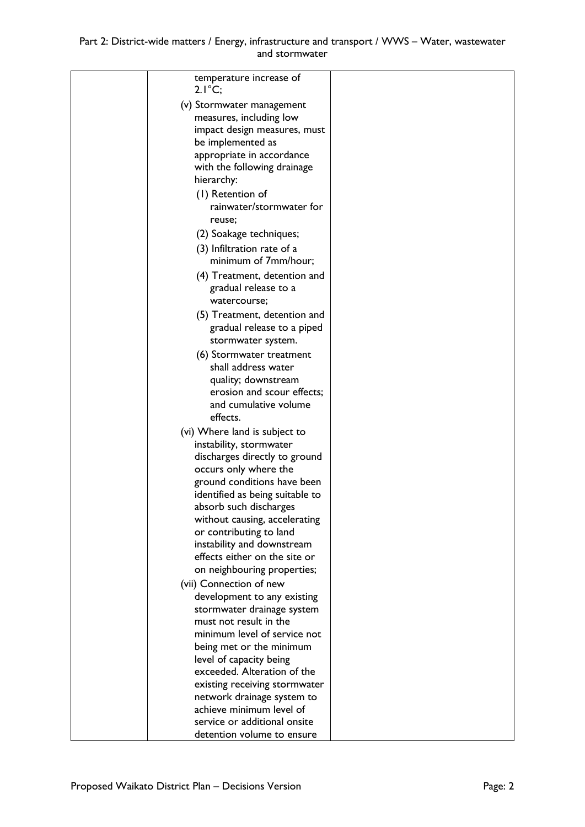### Part 2: District-wide matters / Energy, infrastructure and transport / WWS – Water, wastewater and stormwater

| temperature increase of<br>$2.1^{\circ}C;$                |  |
|-----------------------------------------------------------|--|
| (v) Stormwater management                                 |  |
| measures, including low                                   |  |
| impact design measures, must                              |  |
| be implemented as                                         |  |
| appropriate in accordance                                 |  |
| with the following drainage                               |  |
| hierarchy:                                                |  |
| (1) Retention of                                          |  |
| rainwater/stormwater for                                  |  |
| reuse;                                                    |  |
| (2) Soakage techniques;                                   |  |
| (3) Infiltration rate of a                                |  |
| minimum of 7mm/hour;                                      |  |
| (4) Treatment, detention and                              |  |
| gradual release to a                                      |  |
| watercourse:                                              |  |
| (5) Treatment, detention and                              |  |
| gradual release to a piped                                |  |
| stormwater system.                                        |  |
| (6) Stormwater treatment                                  |  |
| shall address water                                       |  |
| quality; downstream                                       |  |
| erosion and scour effects;<br>and cumulative volume       |  |
| effects.                                                  |  |
| (vi) Where land is subject to                             |  |
| instability, stormwater                                   |  |
| discharges directly to ground                             |  |
| occurs only where the                                     |  |
| ground conditions have been                               |  |
| identified as being suitable to                           |  |
| absorb such discharges                                    |  |
| without causing, accelerating                             |  |
| or contributing to land                                   |  |
| instability and downstream                                |  |
| effects either on the site or                             |  |
| on neighbouring properties;                               |  |
| (vii) Connection of new                                   |  |
| development to any existing<br>stormwater drainage system |  |
| must not result in the                                    |  |
| minimum level of service not                              |  |
| being met or the minimum                                  |  |
| level of capacity being                                   |  |
| exceeded. Alteration of the                               |  |
| existing receiving stormwater                             |  |
| network drainage system to                                |  |
| achieve minimum level of                                  |  |
| service or additional onsite                              |  |
| detention volume to ensure                                |  |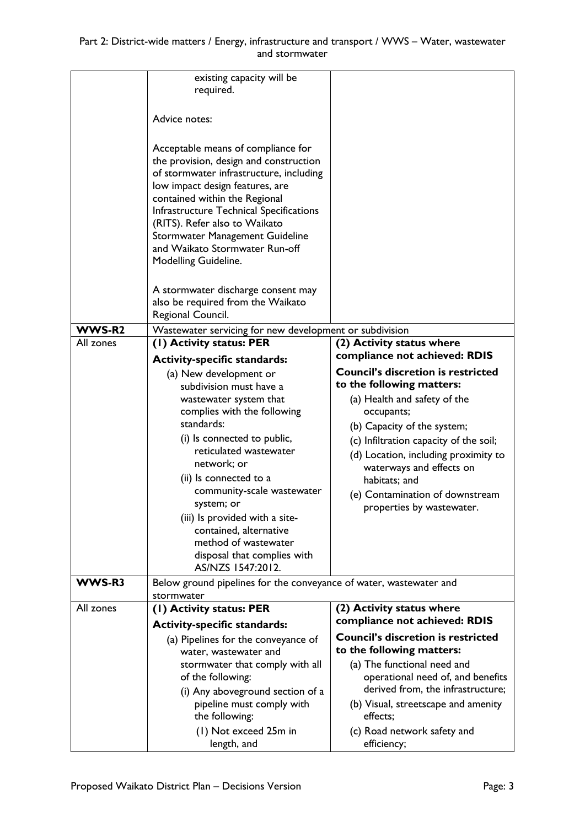|           | existing capacity will be<br>required.                                                                                                                                                                                                                                                                                                                               |                                                 |
|-----------|----------------------------------------------------------------------------------------------------------------------------------------------------------------------------------------------------------------------------------------------------------------------------------------------------------------------------------------------------------------------|-------------------------------------------------|
|           | Advice notes:                                                                                                                                                                                                                                                                                                                                                        |                                                 |
|           | Acceptable means of compliance for<br>the provision, design and construction<br>of stormwater infrastructure, including<br>low impact design features, are<br>contained within the Regional<br>Infrastructure Technical Specifications<br>(RITS). Refer also to Waikato<br>Stormwater Management Guideline<br>and Waikato Stormwater Run-off<br>Modelling Guideline. |                                                 |
|           | A stormwater discharge consent may<br>also be required from the Waikato<br>Regional Council.                                                                                                                                                                                                                                                                         |                                                 |
|           |                                                                                                                                                                                                                                                                                                                                                                      |                                                 |
| WWS-R2    | Wastewater servicing for new development or subdivision                                                                                                                                                                                                                                                                                                              |                                                 |
| All zones | (1) Activity status: PER                                                                                                                                                                                                                                                                                                                                             | (2) Activity status where                       |
|           | <b>Activity-specific standards:</b>                                                                                                                                                                                                                                                                                                                                  | compliance not achieved: RDIS                   |
|           | (a) New development or                                                                                                                                                                                                                                                                                                                                               | <b>Council's discretion is restricted</b>       |
|           | subdivision must have a                                                                                                                                                                                                                                                                                                                                              | to the following matters:                       |
|           | wastewater system that<br>complies with the following                                                                                                                                                                                                                                                                                                                | (a) Health and safety of the                    |
|           | standards:                                                                                                                                                                                                                                                                                                                                                           | occupants;                                      |
|           | (i) Is connected to public,                                                                                                                                                                                                                                                                                                                                          | (b) Capacity of the system;                     |
|           | reticulated wastewater                                                                                                                                                                                                                                                                                                                                               | (c) Infiltration capacity of the soil;          |
|           | network; or                                                                                                                                                                                                                                                                                                                                                          | (d) Location, including proximity to            |
|           | (ii) Is connected to a                                                                                                                                                                                                                                                                                                                                               | waterways and effects on<br>habitats; and       |
|           | community-scale wastewater                                                                                                                                                                                                                                                                                                                                           | (e) Contamination of downstream                 |
|           | system; or                                                                                                                                                                                                                                                                                                                                                           | properties by wastewater.                       |
|           | (iii) Is provided with a site-                                                                                                                                                                                                                                                                                                                                       |                                                 |
|           | contained, alternative                                                                                                                                                                                                                                                                                                                                               |                                                 |
|           | method of wastewater                                                                                                                                                                                                                                                                                                                                                 |                                                 |
|           | disposal that complies with                                                                                                                                                                                                                                                                                                                                          |                                                 |
|           | AS/NZS 1547:2012.                                                                                                                                                                                                                                                                                                                                                    |                                                 |
| WWS-R3    | Below ground pipelines for the conveyance of water, wastewater and<br>stormwater                                                                                                                                                                                                                                                                                     |                                                 |
| All zones | (1) Activity status: PER                                                                                                                                                                                                                                                                                                                                             | (2) Activity status where                       |
|           | <b>Activity-specific standards:</b>                                                                                                                                                                                                                                                                                                                                  | compliance not achieved: RDIS                   |
|           | (a) Pipelines for the conveyance of                                                                                                                                                                                                                                                                                                                                  | <b>Council's discretion is restricted</b>       |
|           | water, wastewater and                                                                                                                                                                                                                                                                                                                                                | to the following matters:                       |
|           | stormwater that comply with all                                                                                                                                                                                                                                                                                                                                      | (a) The functional need and                     |
|           | of the following:                                                                                                                                                                                                                                                                                                                                                    | operational need of, and benefits               |
|           | (i) Any aboveground section of a                                                                                                                                                                                                                                                                                                                                     | derived from, the infrastructure;               |
|           | pipeline must comply with<br>the following:                                                                                                                                                                                                                                                                                                                          | (b) Visual, streetscape and amenity<br>effects; |
|           | (I) Not exceed 25m in                                                                                                                                                                                                                                                                                                                                                | (c) Road network safety and                     |
|           | length, and                                                                                                                                                                                                                                                                                                                                                          | efficiency;                                     |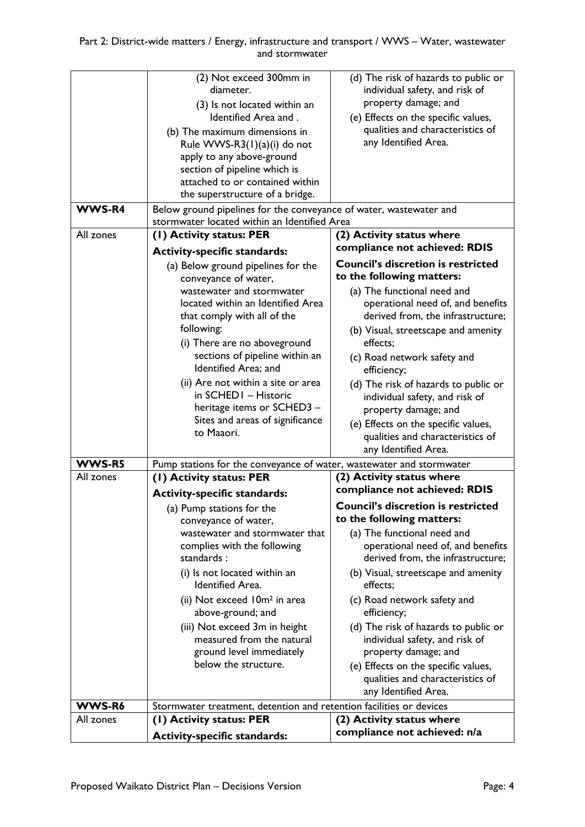|               | (2) Not exceed 300mm in                                              | (d) The risk of hazards to public or       |
|---------------|----------------------------------------------------------------------|--------------------------------------------|
|               | diameter.                                                            | individual safety, and risk of             |
|               | (3) Is not located within an                                         | property damage; and                       |
|               | Identified Area and.                                                 | (e) Effects on the specific values,        |
|               | (b) The maximum dimensions in                                        | qualities and characteristics of           |
|               | Rule WWS-R3(1)(a)(i) do not                                          | any Identified Area.                       |
|               | apply to any above-ground                                            |                                            |
|               | section of pipeline which is                                         |                                            |
|               | attached to or contained within                                      |                                            |
|               | the superstructure of a bridge.                                      |                                            |
| <b>WWS-R4</b> | Below ground pipelines for the conveyance of water, wastewater and   |                                            |
|               | stormwater located within an Identified Area                         |                                            |
| All zones     | (I) Activity status: PER                                             | (2) Activity status where                  |
|               |                                                                      | compliance not achieved: RDIS              |
|               | <b>Activity-specific standards:</b>                                  | <b>Council's discretion is restricted</b>  |
|               | (a) Below ground pipelines for the                                   | to the following matters:                  |
|               | conveyance of water,                                                 |                                            |
|               | wastewater and stormwater                                            | (a) The functional need and                |
|               | located within an Identified Area                                    | operational need of, and benefits          |
|               | that comply with all of the                                          | derived from, the infrastructure;          |
|               | following:                                                           | (b) Visual, streetscape and amenity        |
|               | (i) There are no aboveground                                         | effects:                                   |
|               | sections of pipeline within an<br>Identified Area; and               | (c) Road network safety and<br>efficiency; |
|               | (ii) Are not within a site or area                                   | (d) The risk of hazards to public or       |
|               | in SCHED1 - Historic                                                 | individual safety, and risk of             |
|               | heritage items or SCHED3 -                                           | property damage; and                       |
|               | Sites and areas of significance                                      | (e) Effects on the specific values,        |
|               | to Maaori.                                                           | qualities and characteristics of           |
|               |                                                                      | any Identified Area.                       |
| WWS-R5        | Pump stations for the conveyance of water, wastewater and stormwater |                                            |
| All zones     | (1) Activity status: PER                                             | (2) Activity status where                  |
|               | <b>Activity-specific standards:</b>                                  | compliance not achieved: RDIS              |
|               | (a) Pump stations for the                                            | <b>Council's discretion is restricted</b>  |
|               | conveyance of water,                                                 | to the following matters:                  |
|               | wastewater and stormwater that                                       | (a) The functional need and                |
|               | complies with the following                                          | operational need of, and benefits          |
|               | standards:                                                           | derived from, the infrastructure;          |
|               | (i) Is not located within an                                         | (b) Visual, streetscape and amenity        |
|               | <b>Identified Area.</b>                                              | effects;                                   |
|               | (ii) Not exceed 10m <sup>2</sup> in area                             | (c) Road network safety and                |
|               | above-ground; and                                                    | efficiency;                                |
|               | (iii) Not exceed 3m in height                                        | (d) The risk of hazards to public or       |
|               | measured from the natural                                            | individual safety, and risk of             |
|               | ground level immediately                                             | property damage; and                       |
|               | below the structure.                                                 | (e) Effects on the specific values,        |
|               |                                                                      | qualities and characteristics of           |
|               |                                                                      | any Identified Area.                       |
| WWS-R6        | Stormwater treatment, detention and retention facilities or devices  |                                            |
| All zones     | (1) Activity status: PER                                             | (2) Activity status where                  |
|               | <b>Activity-specific standards:</b>                                  | compliance not achieved: n/a               |
|               |                                                                      |                                            |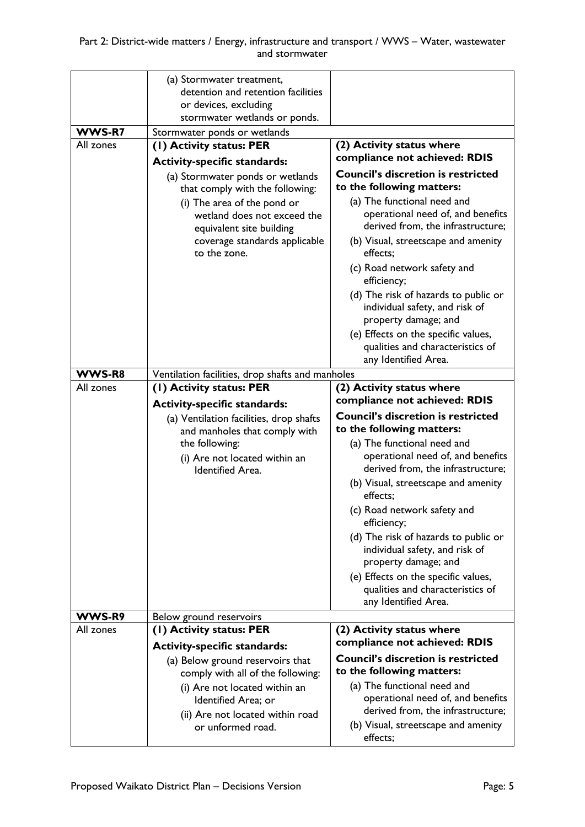|                     | (a) Stormwater treatment,                               |                                                                                                 |
|---------------------|---------------------------------------------------------|-------------------------------------------------------------------------------------------------|
|                     | detention and retention facilities                      |                                                                                                 |
|                     | or devices, excluding                                   |                                                                                                 |
|                     | stormwater wetlands or ponds.                           |                                                                                                 |
| WWS-R7<br>All zones | Stormwater ponds or wetlands                            |                                                                                                 |
|                     | (1) Activity status: PER                                | (2) Activity status where<br>compliance not achieved: RDIS                                      |
|                     | <b>Activity-specific standards:</b>                     |                                                                                                 |
|                     | (a) Stormwater ponds or wetlands                        | <b>Council's discretion is restricted</b><br>to the following matters:                          |
|                     | that comply with the following:                         |                                                                                                 |
|                     | (i) The area of the pond or                             | (a) The functional need and<br>operational need of, and benefits                                |
|                     | wetland does not exceed the<br>equivalent site building | derived from, the infrastructure;                                                               |
|                     | coverage standards applicable<br>to the zone.           | (b) Visual, streetscape and amenity<br>effects;                                                 |
|                     |                                                         | (c) Road network safety and<br>efficiency;                                                      |
|                     |                                                         | (d) The risk of hazards to public or<br>individual safety, and risk of<br>property damage; and  |
|                     |                                                         | (e) Effects on the specific values,<br>qualities and characteristics of                         |
|                     |                                                         | any Identified Area.                                                                            |
| WWS-R8<br>All zones | Ventilation facilities, drop shafts and manholes        |                                                                                                 |
|                     | (1) Activity status: PER                                | (2) Activity status where<br>compliance not achieved: RDIS                                      |
|                     | <b>Activity-specific standards:</b>                     |                                                                                                 |
|                     | (a) Ventilation facilities, drop shafts                 | <b>Council's discretion is restricted</b><br>to the following matters:                          |
|                     | and manholes that comply with<br>the following:         | (a) The functional need and                                                                     |
|                     | (i) Are not located within an                           | operational need of, and benefits                                                               |
|                     | <b>Identified Area.</b>                                 | derived from, the infrastructure;                                                               |
|                     |                                                         | (b) Visual, streetscape and amenity<br>effects;                                                 |
|                     |                                                         | (c) Road network safety and                                                                     |
|                     |                                                         | efficiency;                                                                                     |
|                     |                                                         | (d) The risk of hazards to public or<br>individual safety, and risk of<br>property damage; and  |
|                     |                                                         | (e) Effects on the specific values,<br>qualities and characteristics of<br>any Identified Area. |
| WWS-R9              | Below ground reservoirs                                 |                                                                                                 |
| All zones           | (1) Activity status: PER                                | (2) Activity status where                                                                       |
|                     | <b>Activity-specific standards:</b>                     | compliance not achieved: RDIS                                                                   |
|                     | (a) Below ground reservoirs that                        | <b>Council's discretion is restricted</b>                                                       |
|                     | comply with all of the following:                       | to the following matters:                                                                       |
|                     | (i) Are not located within an                           | (a) The functional need and                                                                     |
|                     | Identified Area; or                                     | operational need of, and benefits                                                               |
|                     | (ii) Are not located within road                        | derived from, the infrastructure;                                                               |
|                     |                                                         | (b) Visual, streetscape and amenity                                                             |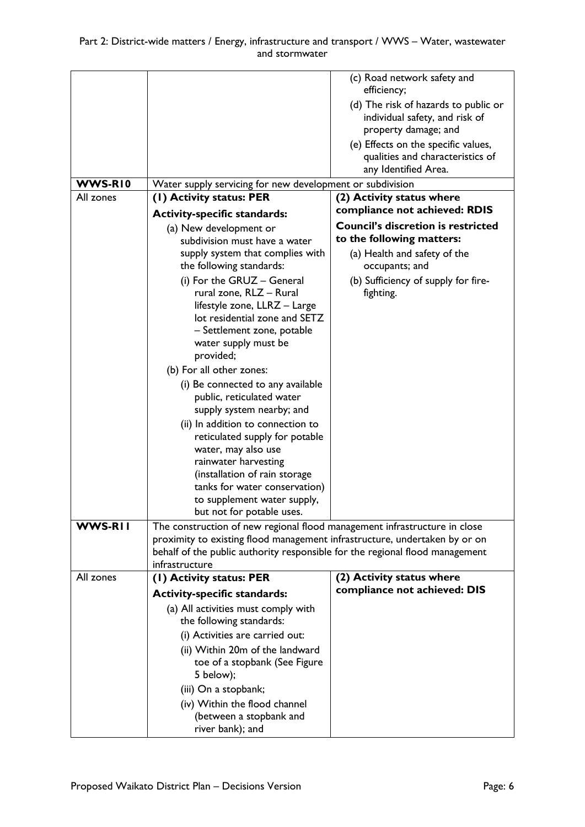|                                                                            | (c) Road network safety and<br>efficiency;                                                                                                                                                                                                                                                                                                                                                                                                                                                                                                                                                                                                                                                                                                                                                                                                                                                                                                      |
|----------------------------------------------------------------------------|-------------------------------------------------------------------------------------------------------------------------------------------------------------------------------------------------------------------------------------------------------------------------------------------------------------------------------------------------------------------------------------------------------------------------------------------------------------------------------------------------------------------------------------------------------------------------------------------------------------------------------------------------------------------------------------------------------------------------------------------------------------------------------------------------------------------------------------------------------------------------------------------------------------------------------------------------|
|                                                                            | (d) The risk of hazards to public or                                                                                                                                                                                                                                                                                                                                                                                                                                                                                                                                                                                                                                                                                                                                                                                                                                                                                                            |
|                                                                            | individual safety, and risk of                                                                                                                                                                                                                                                                                                                                                                                                                                                                                                                                                                                                                                                                                                                                                                                                                                                                                                                  |
|                                                                            | property damage; and                                                                                                                                                                                                                                                                                                                                                                                                                                                                                                                                                                                                                                                                                                                                                                                                                                                                                                                            |
|                                                                            | (e) Effects on the specific values,                                                                                                                                                                                                                                                                                                                                                                                                                                                                                                                                                                                                                                                                                                                                                                                                                                                                                                             |
|                                                                            | qualities and characteristics of                                                                                                                                                                                                                                                                                                                                                                                                                                                                                                                                                                                                                                                                                                                                                                                                                                                                                                                |
|                                                                            | any Identified Area.                                                                                                                                                                                                                                                                                                                                                                                                                                                                                                                                                                                                                                                                                                                                                                                                                                                                                                                            |
|                                                                            |                                                                                                                                                                                                                                                                                                                                                                                                                                                                                                                                                                                                                                                                                                                                                                                                                                                                                                                                                 |
|                                                                            | (2) Activity status where                                                                                                                                                                                                                                                                                                                                                                                                                                                                                                                                                                                                                                                                                                                                                                                                                                                                                                                       |
| <b>Activity-specific standards:</b>                                        | compliance not achieved: RDIS                                                                                                                                                                                                                                                                                                                                                                                                                                                                                                                                                                                                                                                                                                                                                                                                                                                                                                                   |
| (a) New development or                                                     | <b>Council's discretion is restricted</b>                                                                                                                                                                                                                                                                                                                                                                                                                                                                                                                                                                                                                                                                                                                                                                                                                                                                                                       |
| subdivision must have a water                                              | to the following matters:                                                                                                                                                                                                                                                                                                                                                                                                                                                                                                                                                                                                                                                                                                                                                                                                                                                                                                                       |
|                                                                            | (a) Health and safety of the                                                                                                                                                                                                                                                                                                                                                                                                                                                                                                                                                                                                                                                                                                                                                                                                                                                                                                                    |
|                                                                            | occupants; and                                                                                                                                                                                                                                                                                                                                                                                                                                                                                                                                                                                                                                                                                                                                                                                                                                                                                                                                  |
|                                                                            | (b) Sufficiency of supply for fire-                                                                                                                                                                                                                                                                                                                                                                                                                                                                                                                                                                                                                                                                                                                                                                                                                                                                                                             |
|                                                                            | fighting.                                                                                                                                                                                                                                                                                                                                                                                                                                                                                                                                                                                                                                                                                                                                                                                                                                                                                                                                       |
|                                                                            |                                                                                                                                                                                                                                                                                                                                                                                                                                                                                                                                                                                                                                                                                                                                                                                                                                                                                                                                                 |
|                                                                            |                                                                                                                                                                                                                                                                                                                                                                                                                                                                                                                                                                                                                                                                                                                                                                                                                                                                                                                                                 |
| water supply must be                                                       |                                                                                                                                                                                                                                                                                                                                                                                                                                                                                                                                                                                                                                                                                                                                                                                                                                                                                                                                                 |
| provided;                                                                  |                                                                                                                                                                                                                                                                                                                                                                                                                                                                                                                                                                                                                                                                                                                                                                                                                                                                                                                                                 |
| (b) For all other zones:                                                   |                                                                                                                                                                                                                                                                                                                                                                                                                                                                                                                                                                                                                                                                                                                                                                                                                                                                                                                                                 |
| (i) Be connected to any available                                          |                                                                                                                                                                                                                                                                                                                                                                                                                                                                                                                                                                                                                                                                                                                                                                                                                                                                                                                                                 |
| public, reticulated water                                                  |                                                                                                                                                                                                                                                                                                                                                                                                                                                                                                                                                                                                                                                                                                                                                                                                                                                                                                                                                 |
| supply system nearby; and                                                  |                                                                                                                                                                                                                                                                                                                                                                                                                                                                                                                                                                                                                                                                                                                                                                                                                                                                                                                                                 |
| (ii) In addition to connection to                                          |                                                                                                                                                                                                                                                                                                                                                                                                                                                                                                                                                                                                                                                                                                                                                                                                                                                                                                                                                 |
|                                                                            |                                                                                                                                                                                                                                                                                                                                                                                                                                                                                                                                                                                                                                                                                                                                                                                                                                                                                                                                                 |
|                                                                            |                                                                                                                                                                                                                                                                                                                                                                                                                                                                                                                                                                                                                                                                                                                                                                                                                                                                                                                                                 |
|                                                                            |                                                                                                                                                                                                                                                                                                                                                                                                                                                                                                                                                                                                                                                                                                                                                                                                                                                                                                                                                 |
|                                                                            |                                                                                                                                                                                                                                                                                                                                                                                                                                                                                                                                                                                                                                                                                                                                                                                                                                                                                                                                                 |
|                                                                            |                                                                                                                                                                                                                                                                                                                                                                                                                                                                                                                                                                                                                                                                                                                                                                                                                                                                                                                                                 |
| but not for potable uses.                                                  |                                                                                                                                                                                                                                                                                                                                                                                                                                                                                                                                                                                                                                                                                                                                                                                                                                                                                                                                                 |
| The construction of new regional flood management infrastructure in close  |                                                                                                                                                                                                                                                                                                                                                                                                                                                                                                                                                                                                                                                                                                                                                                                                                                                                                                                                                 |
| proximity to existing flood management infrastructure, undertaken by or on |                                                                                                                                                                                                                                                                                                                                                                                                                                                                                                                                                                                                                                                                                                                                                                                                                                                                                                                                                 |
|                                                                            |                                                                                                                                                                                                                                                                                                                                                                                                                                                                                                                                                                                                                                                                                                                                                                                                                                                                                                                                                 |
|                                                                            |                                                                                                                                                                                                                                                                                                                                                                                                                                                                                                                                                                                                                                                                                                                                                                                                                                                                                                                                                 |
|                                                                            | (2) Activity status where<br>compliance not achieved: DIS                                                                                                                                                                                                                                                                                                                                                                                                                                                                                                                                                                                                                                                                                                                                                                                                                                                                                       |
|                                                                            |                                                                                                                                                                                                                                                                                                                                                                                                                                                                                                                                                                                                                                                                                                                                                                                                                                                                                                                                                 |
|                                                                            |                                                                                                                                                                                                                                                                                                                                                                                                                                                                                                                                                                                                                                                                                                                                                                                                                                                                                                                                                 |
|                                                                            |                                                                                                                                                                                                                                                                                                                                                                                                                                                                                                                                                                                                                                                                                                                                                                                                                                                                                                                                                 |
|                                                                            |                                                                                                                                                                                                                                                                                                                                                                                                                                                                                                                                                                                                                                                                                                                                                                                                                                                                                                                                                 |
|                                                                            |                                                                                                                                                                                                                                                                                                                                                                                                                                                                                                                                                                                                                                                                                                                                                                                                                                                                                                                                                 |
|                                                                            |                                                                                                                                                                                                                                                                                                                                                                                                                                                                                                                                                                                                                                                                                                                                                                                                                                                                                                                                                 |
|                                                                            |                                                                                                                                                                                                                                                                                                                                                                                                                                                                                                                                                                                                                                                                                                                                                                                                                                                                                                                                                 |
|                                                                            |                                                                                                                                                                                                                                                                                                                                                                                                                                                                                                                                                                                                                                                                                                                                                                                                                                                                                                                                                 |
|                                                                            |                                                                                                                                                                                                                                                                                                                                                                                                                                                                                                                                                                                                                                                                                                                                                                                                                                                                                                                                                 |
| river bank); and                                                           |                                                                                                                                                                                                                                                                                                                                                                                                                                                                                                                                                                                                                                                                                                                                                                                                                                                                                                                                                 |
|                                                                            | Water supply servicing for new development or subdivision<br>(1) Activity status: PER<br>supply system that complies with<br>the following standards:<br>(i) For the GRUZ - General<br>rural zone, RLZ - Rural<br>lifestyle zone, LLRZ - Large<br>lot residential zone and SETZ<br>- Settlement zone, potable<br>reticulated supply for potable<br>water, may also use<br>rainwater harvesting<br>(installation of rain storage<br>tanks for water conservation)<br>to supplement water supply,<br>behalf of the public authority responsible for the regional flood management<br>infrastructure<br>(1) Activity status: PER<br><b>Activity-specific standards:</b><br>(a) All activities must comply with<br>the following standards:<br>(i) Activities are carried out:<br>(ii) Within 20m of the landward<br>toe of a stopbank (See Figure<br>5 below);<br>(iii) On a stopbank;<br>(iv) Within the flood channel<br>(between a stopbank and |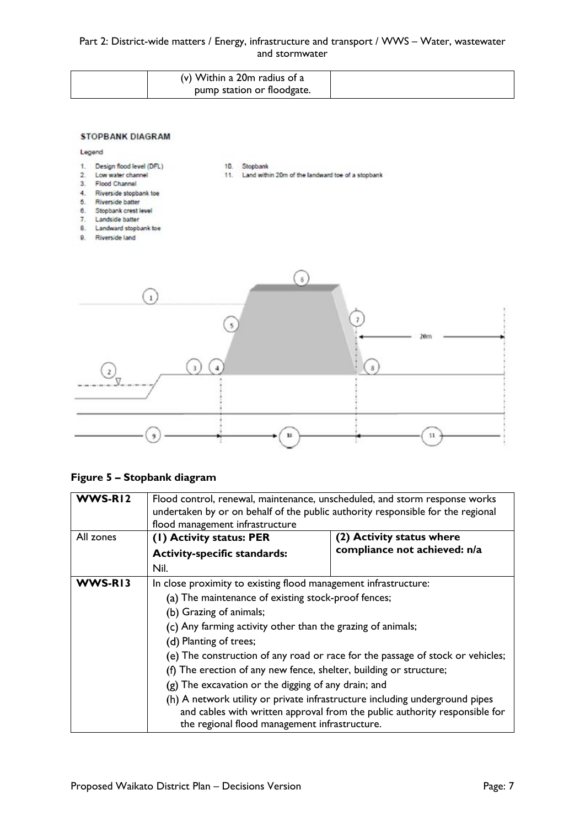#### Part 2: District-wide matters / Energy, infrastructure and transport / WWS – Water, wastewater and stormwater

| (v) Within a 20m radius of a |  |
|------------------------------|--|
| pump station or floodgate.   |  |

11. Land within 20m of the landward toe of a stopbank

10. Stopbank

#### **STOPBANK DIAGRAM**

#### Legend

- Design flood level (DFL)  $1$
- $\overline{2}$ Low water channel
- $3.$ Flood Channel
- $\overline{4}$ . Riverside stopbank toe
- Riverside batter 5.
- $6.$ Stopbank crest level
- Landside batter  $7.$
- 8. Landward stopbank toe
- 9. Riverside land



#### **Figure 5 – Stopbank diagram**

| WWS-RI2   | Flood control, renewal, maintenance, unscheduled, and storm response works<br>undertaken by or on behalf of the public authority responsible for the regional<br>flood management infrastructure |                                                                                                                                                           |
|-----------|--------------------------------------------------------------------------------------------------------------------------------------------------------------------------------------------------|-----------------------------------------------------------------------------------------------------------------------------------------------------------|
| All zones | (1) Activity status: PER                                                                                                                                                                         | (2) Activity status where                                                                                                                                 |
|           | <b>Activity-specific standards:</b>                                                                                                                                                              | compliance not achieved: n/a                                                                                                                              |
|           | Nil.                                                                                                                                                                                             |                                                                                                                                                           |
| WWS-RI3   | In close proximity to existing flood management infrastructure:                                                                                                                                  |                                                                                                                                                           |
|           | (a) The maintenance of existing stock-proof fences;                                                                                                                                              |                                                                                                                                                           |
|           | (b) Grazing of animals;                                                                                                                                                                          |                                                                                                                                                           |
|           | (c) Any farming activity other than the grazing of animals;                                                                                                                                      |                                                                                                                                                           |
|           | (d) Planting of trees;                                                                                                                                                                           |                                                                                                                                                           |
|           | (e) The construction of any road or race for the passage of stock or vehicles;                                                                                                                   |                                                                                                                                                           |
|           | (f) The erection of any new fence, shelter, building or structure;                                                                                                                               |                                                                                                                                                           |
|           | (g) The excavation or the digging of any drain; and                                                                                                                                              |                                                                                                                                                           |
|           | the regional flood management infrastructure.                                                                                                                                                    | (h) A network utility or private infrastructure including underground pipes<br>and cables with written approval from the public authority responsible for |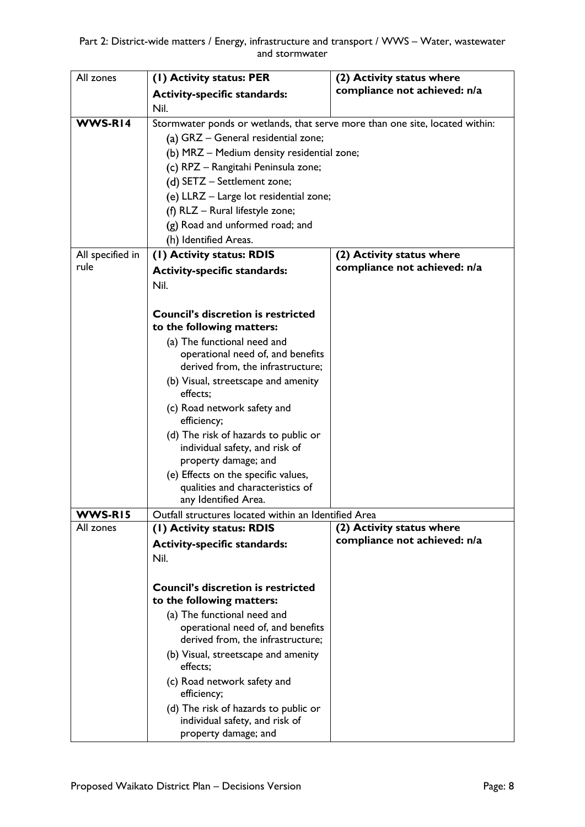| All zones                | (1) Activity status: PER                                                     | (2) Activity status where                                 |
|--------------------------|------------------------------------------------------------------------------|-----------------------------------------------------------|
|                          | <b>Activity-specific standards:</b>                                          | compliance not achieved: n/a                              |
|                          | Nil.                                                                         |                                                           |
| WWS-RI4                  | Stormwater ponds or wetlands, that serve more than one site, located within: |                                                           |
|                          | (a) GRZ - General residential zone;                                          |                                                           |
|                          | (b) MRZ - Medium density residential zone;                                   |                                                           |
|                          | (c) RPZ - Rangitahi Peninsula zone;                                          |                                                           |
|                          | (d) SETZ - Settlement zone;                                                  |                                                           |
|                          | (e) LLRZ - Large lot residential zone;                                       |                                                           |
|                          | (f) RLZ - Rural lifestyle zone;                                              |                                                           |
|                          | (g) Road and unformed road; and                                              |                                                           |
|                          | (h) Identified Areas.                                                        |                                                           |
| All specified in<br>rule | (I) Activity status: RDIS                                                    | (2) Activity status where<br>compliance not achieved: n/a |
|                          | <b>Activity-specific standards:</b>                                          |                                                           |
|                          | Nil.                                                                         |                                                           |
|                          | <b>Council's discretion is restricted</b>                                    |                                                           |
|                          | to the following matters:                                                    |                                                           |
|                          | (a) The functional need and                                                  |                                                           |
|                          | operational need of, and benefits                                            |                                                           |
|                          | derived from, the infrastructure;                                            |                                                           |
|                          | (b) Visual, streetscape and amenity<br>effects;                              |                                                           |
|                          | (c) Road network safety and<br>efficiency;                                   |                                                           |
|                          | (d) The risk of hazards to public or                                         |                                                           |
|                          | individual safety, and risk of                                               |                                                           |
|                          | property damage; and                                                         |                                                           |
|                          | (e) Effects on the specific values,                                          |                                                           |
|                          | qualities and characteristics of<br>any Identified Area.                     |                                                           |
| WWS-RI5                  | Outfall structures located within an Identified Area                         |                                                           |
| All zones                | (1) Activity status: RDIS                                                    | (2) Activity status where                                 |
|                          | <b>Activity-specific standards:</b>                                          | compliance not achieved: n/a                              |
|                          | Nil.                                                                         |                                                           |
|                          |                                                                              |                                                           |
|                          | <b>Council's discretion is restricted</b><br>to the following matters:       |                                                           |
|                          | (a) The functional need and                                                  |                                                           |
|                          | operational need of, and benefits                                            |                                                           |
|                          | derived from, the infrastructure;                                            |                                                           |
|                          | (b) Visual, streetscape and amenity<br>effects;                              |                                                           |
|                          | (c) Road network safety and                                                  |                                                           |
|                          | efficiency;                                                                  |                                                           |
|                          | (d) The risk of hazards to public or                                         |                                                           |
|                          | individual safety, and risk of<br>property damage; and                       |                                                           |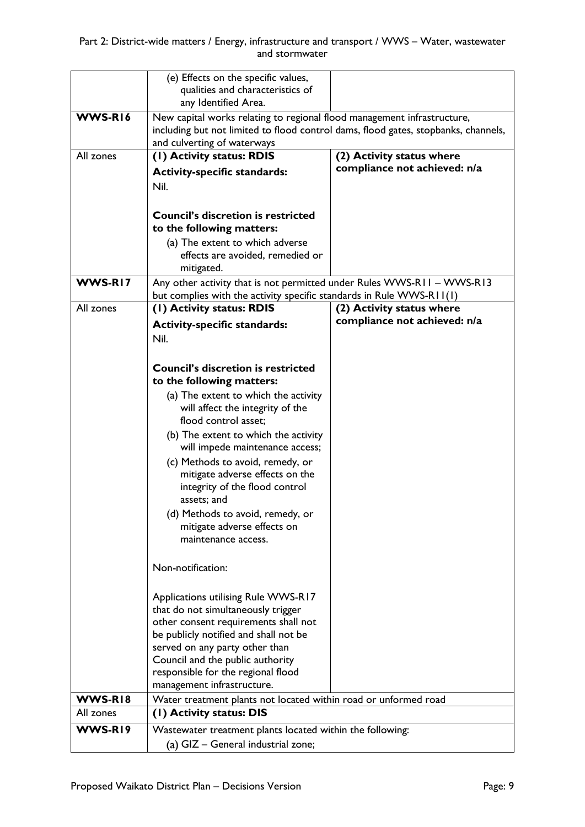|           | (e) Effects on the specific values,<br>qualities and characteristics of<br>any Identified Area.                                                                                              |                              |
|-----------|----------------------------------------------------------------------------------------------------------------------------------------------------------------------------------------------|------------------------------|
| WWS-RI6   | New capital works relating to regional flood management infrastructure,<br>including but not limited to flood control dams, flood gates, stopbanks, channels,<br>and culverting of waterways |                              |
| All zones | (I) Activity status: RDIS                                                                                                                                                                    | (2) Activity status where    |
|           |                                                                                                                                                                                              | compliance not achieved: n/a |
|           | <b>Activity-specific standards:</b>                                                                                                                                                          |                              |
|           | Nil.                                                                                                                                                                                         |                              |
|           |                                                                                                                                                                                              |                              |
|           | <b>Council's discretion is restricted</b>                                                                                                                                                    |                              |
|           | to the following matters:                                                                                                                                                                    |                              |
|           | (a) The extent to which adverse                                                                                                                                                              |                              |
|           | effects are avoided, remedied or                                                                                                                                                             |                              |
|           | mitigated.                                                                                                                                                                                   |                              |
| WWS-RI7   | Any other activity that is not permitted under Rules WWS-R11 - WWS-R13                                                                                                                       |                              |
|           | but complies with the activity specific standards in Rule WWS-R11(1)                                                                                                                         |                              |
| All zones | (I) Activity status: RDIS                                                                                                                                                                    | (2) Activity status where    |
|           |                                                                                                                                                                                              | compliance not achieved: n/a |
|           | <b>Activity-specific standards:</b>                                                                                                                                                          |                              |
|           | Nil.                                                                                                                                                                                         |                              |
|           |                                                                                                                                                                                              |                              |
|           | <b>Council's discretion is restricted</b>                                                                                                                                                    |                              |
|           | to the following matters:                                                                                                                                                                    |                              |
|           | (a) The extent to which the activity                                                                                                                                                         |                              |
|           | will affect the integrity of the                                                                                                                                                             |                              |
|           | flood control asset;                                                                                                                                                                         |                              |
|           |                                                                                                                                                                                              |                              |
|           | (b) The extent to which the activity<br>will impede maintenance access;                                                                                                                      |                              |
|           |                                                                                                                                                                                              |                              |
|           | (c) Methods to avoid, remedy, or                                                                                                                                                             |                              |
|           | mitigate adverse effects on the                                                                                                                                                              |                              |
|           | integrity of the flood control                                                                                                                                                               |                              |
|           | assets; and                                                                                                                                                                                  |                              |
|           | (d) Methods to avoid, remedy, or                                                                                                                                                             |                              |
|           | mitigate adverse effects on                                                                                                                                                                  |                              |
|           | maintenance access.                                                                                                                                                                          |                              |
|           |                                                                                                                                                                                              |                              |
|           | Non-notification:                                                                                                                                                                            |                              |
|           |                                                                                                                                                                                              |                              |
|           | Applications utilising Rule WWS-R17                                                                                                                                                          |                              |
|           | that do not simultaneously trigger                                                                                                                                                           |                              |
|           | other consent requirements shall not                                                                                                                                                         |                              |
|           | be publicly notified and shall not be                                                                                                                                                        |                              |
|           | served on any party other than                                                                                                                                                               |                              |
|           | Council and the public authority                                                                                                                                                             |                              |
|           | responsible for the regional flood                                                                                                                                                           |                              |
|           | management infrastructure.                                                                                                                                                                   |                              |
| WWS-RI8   | Water treatment plants not located within road or unformed road                                                                                                                              |                              |
| All zones | (I) Activity status: DIS                                                                                                                                                                     |                              |
|           |                                                                                                                                                                                              |                              |
| WWS-RI9   | Wastewater treatment plants located within the following:                                                                                                                                    |                              |
|           | (a) GIZ - General industrial zone;                                                                                                                                                           |                              |